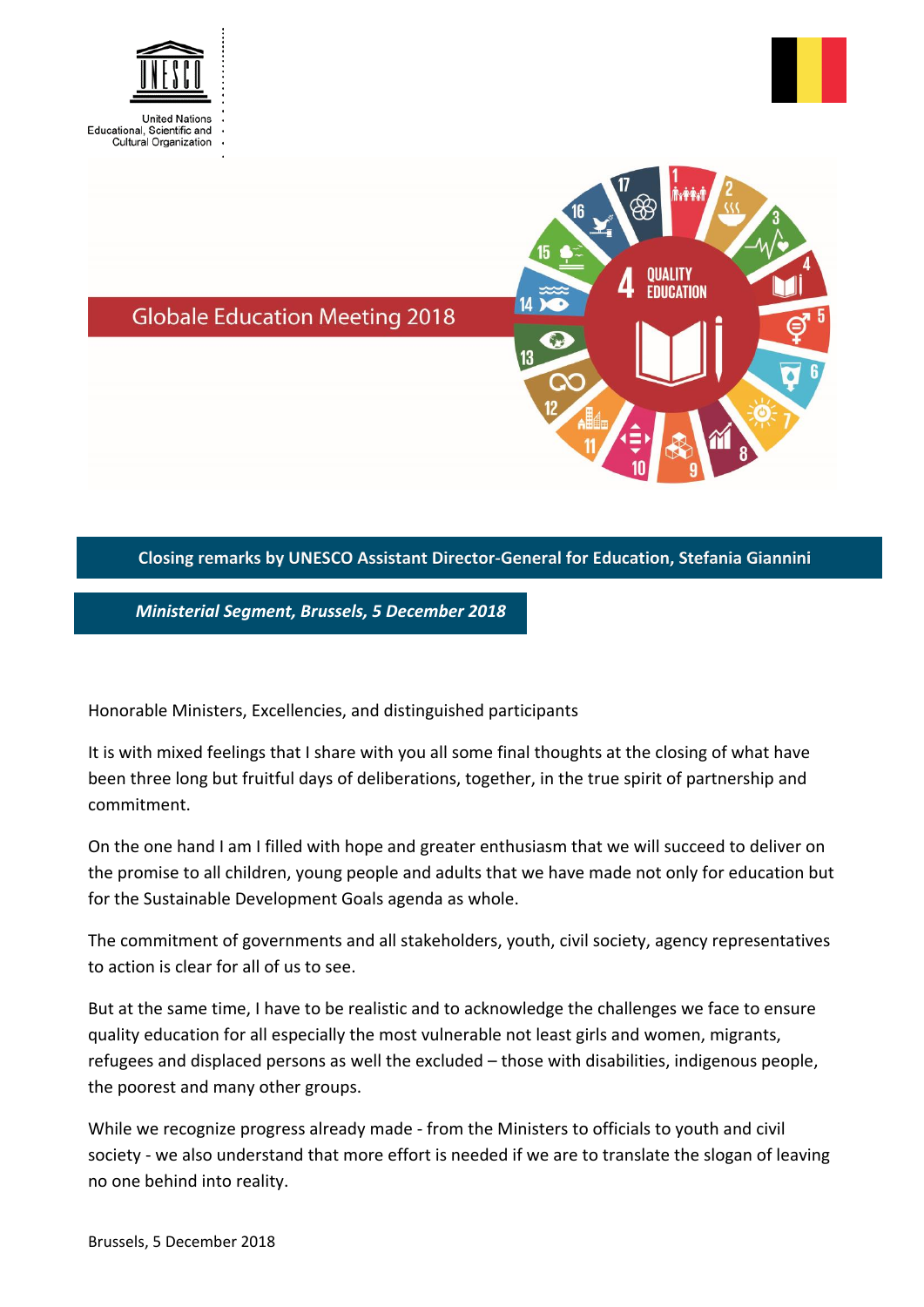



**OUALITY EDUCATION** 

**Globale Education Meeting 2018** 

## **Closing remarks by UNESCO Assistant Director-General for Education, Stefania Giannini**

*Ministerial Segment, Brussels, 5 December 2018*

Honorable Ministers, Excellencies, and distinguished participants

It is with mixed feelings that I share with you all some final thoughts at the closing of what have been three long but fruitful days of deliberations, together, in the true spirit of partnership and commitment.

On the one hand I am I filled with hope and greater enthusiasm that we will succeed to deliver on the promise to all children, young people and adults that we have made not only for education but for the Sustainable Development Goals agenda as whole.

The commitment of governments and all stakeholders, youth, civil society, agency representatives to action is clear for all of us to see.

But at the same time, I have to be realistic and to acknowledge the challenges we face to ensure quality education for all especially the most vulnerable not least girls and women, migrants, refugees and displaced persons as well the excluded – those with disabilities, indigenous people, the poorest and many other groups.

While we recognize progress already made - from the Ministers to officials to youth and civil society - we also understand that more effort is needed if we are to translate the slogan of leaving no one behind into reality.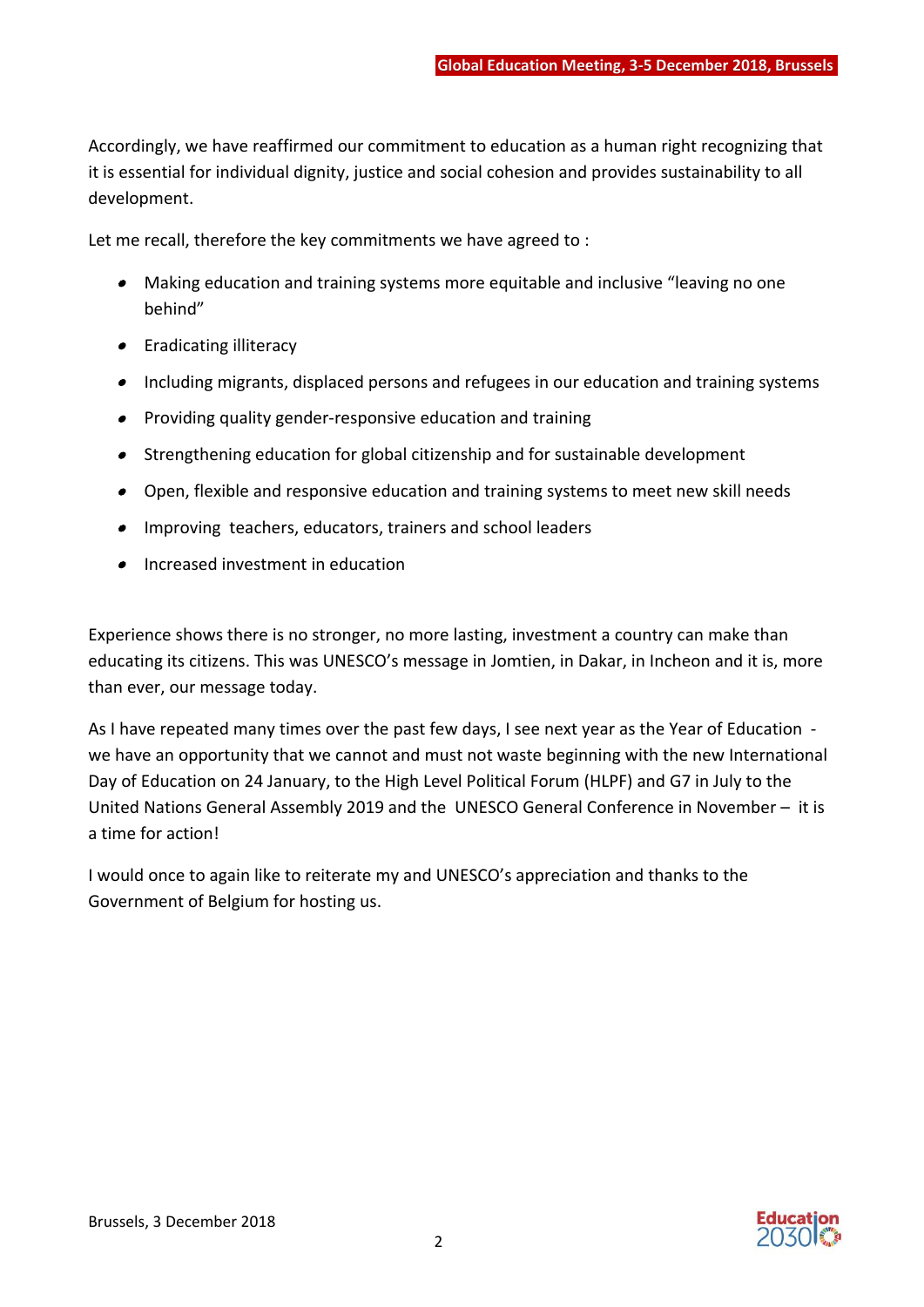Accordingly, we have reaffirmed our commitment to education as a human right recognizing that it is essential for individual dignity, justice and social cohesion and provides sustainability to all development.

Let me recall, therefore the key commitments we have agreed to :

- Making education and training systems more equitable and inclusive "leaving no one behind"
- **•** Eradicating illiteracy
- Including migrants, displaced persons and refugees in our education and training systems
- **•** Providing quality gender-responsive education and training
- Strengthening education for global citizenship and for sustainable development
- Open, flexible and responsive education and training systems to meet new skill needs
- Improving teachers, educators, trainers and school leaders
- **•** Increased investment in education

Experience shows there is no stronger, no more lasting, investment a country can make than educating its citizens. This was UNESCO's message in Jomtien, in Dakar, in Incheon and it is, more than ever, our message today.

As I have repeated many times over the past few days, I see next year as the Year of Education we have an opportunity that we cannot and must not waste beginning with the new International Day of Education on 24 January, to the High Level Political Forum (HLPF) and G7 in July to the United Nations General Assembly 2019 and the UNESCO General Conference in November – it is a time for action!

I would once to again like to reiterate my and UNESCO's appreciation and thanks to the Government of Belgium for hosting us.